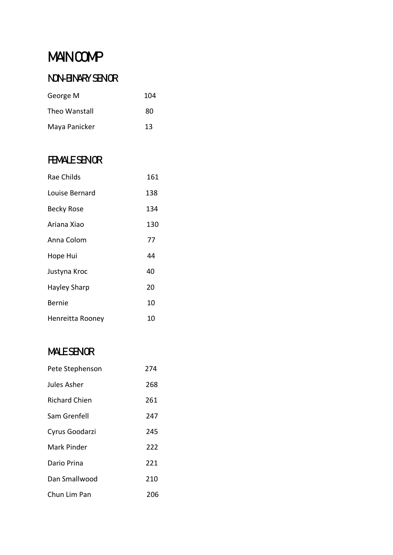# **MAIN COMP**

## NON-BINARY SENOR

| George M      | 104 |
|---------------|-----|
| Theo Wanstall | 80  |
| Maya Panicker | 13  |

### **FEMALE SENOR**

| Rae Childs        | 161 |
|-------------------|-----|
| Louise Bernard    | 138 |
| <b>Becky Rose</b> | 134 |
| Ariana Xiao       | 130 |
| Anna Colom        | 77  |
| Hope Hui          | 44  |
| Justyna Kroc      | 40  |
| Hayley Sharp      | 20  |
| Bernie            | 10  |
| Henreitta Rooney  | 10  |

### **MALE SENOR**

| Pete Stephenson      | 274 |
|----------------------|-----|
| Jules Asher          | 268 |
| <b>Richard Chien</b> | 261 |
| Sam Grenfell         | 247 |
| Cyrus Goodarzi       | 245 |
| Mark Pinder          | 222 |
| Dario Prina          | 221 |
| Dan Smallwood        | 210 |
| Chun Lim Pan         | 206 |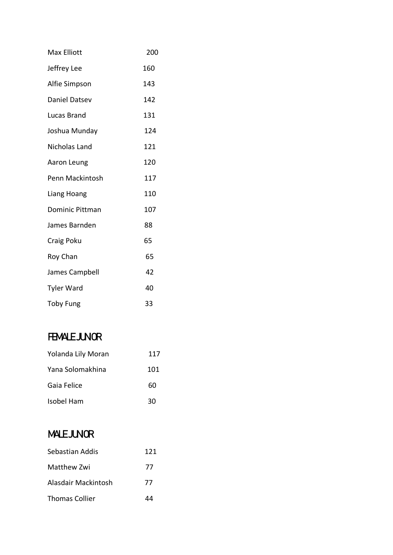| Max Elliott            | 200 |
|------------------------|-----|
| Jeffrey Lee            | 160 |
| Alfie Simpson          | 143 |
| Daniel Datsev          | 142 |
| Lucas Brand            | 131 |
| Joshua Munday          | 124 |
| <b>Nicholas Land</b>   | 121 |
| Aaron Leung            | 120 |
| Penn Mackintosh        | 117 |
| Liang Hoang            | 110 |
| <b>Dominic Pittman</b> | 107 |
| James Barnden          | 88  |
| Craig Poku             | 65  |
| Roy Chan               | 65  |
| James Campbell         | 42  |
| <b>Tyler Ward</b>      | 40  |
| <b>Toby Fung</b>       | 33  |

### **FEMALE JUNOR**

| Yolanda Lily Moran | 117 |
|--------------------|-----|
| Yana Solomakhina   | 101 |
| Gaia Felice        | 60  |
| Isobel Ham         | 30  |

## **MALE JUNOR**

| Sebastian Addis       | 121 |
|-----------------------|-----|
| Matthew Zwi           | 77  |
| Alasdair Mackintosh   | 77  |
| <b>Thomas Collier</b> | ΔΔ  |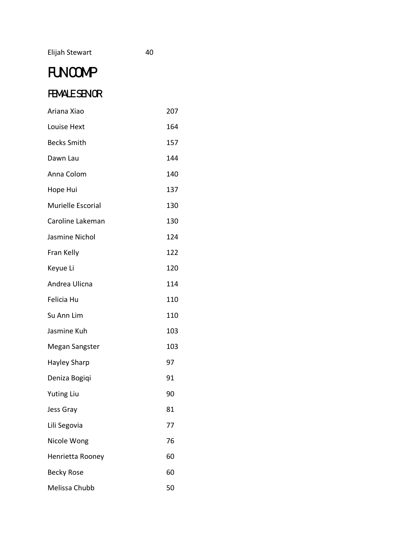#### Elijah Stewart 40

# **FUNCOMP**

### **FEMALE SENOR**

| Ariana Xiao         | 207 |
|---------------------|-----|
| Louise Hext         | 164 |
| <b>Becks Smith</b>  | 157 |
| Dawn Lau            | 144 |
| Anna Colom          | 140 |
| Hope Hui            | 137 |
| Murielle Escorial   | 130 |
| Caroline Lakeman    | 130 |
| Jasmine Nichol      | 124 |
| Fran Kelly          | 122 |
| Keyue Li            | 120 |
| Andrea Ulicna       | 114 |
| Felicia Hu          | 110 |
| Su Ann Lim          | 110 |
| Jasmine Kuh         | 103 |
| Megan Sangster      | 103 |
| <b>Hayley Sharp</b> | 97  |
| Deniza Bogiqi       | 91  |
| <b>Yuting Liu</b>   | 90  |
| Jess Gray           | 81  |
| Lili Segovia        | 77  |
| Nicole Wong         | 76  |
| Henrietta Rooney    | 60  |
| <b>Becky Rose</b>   | 60  |
| Melissa Chubb       | 50  |
|                     |     |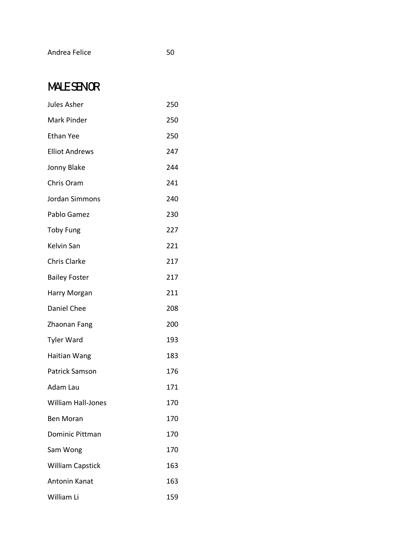#### Andrea Felice 50

## **MALE SENOR**

| Jules Asher               | 250 |
|---------------------------|-----|
| Mark Pinder               | 250 |
| <b>Ethan Yee</b>          | 250 |
| <b>Elliot Andrews</b>     | 247 |
| Jonny Blake               | 244 |
| Chris Oram                | 241 |
| Jordan Simmons            | 240 |
| Pablo Gamez               | 230 |
| <b>Toby Fung</b>          | 227 |
| Kelvin San                | 221 |
| <b>Chris Clarke</b>       | 217 |
| <b>Bailey Foster</b>      | 217 |
| Harry Morgan              | 211 |
| Daniel Chee               | 208 |
| Zhaonan Fang              | 200 |
| <b>Tyler Ward</b>         | 193 |
| Haitian Wang              | 183 |
| <b>Patrick Samson</b>     | 176 |
| Adam Lau                  | 171 |
| <b>William Hall-Jones</b> | 170 |
| <b>Ben Moran</b>          | 170 |
| Dominic Pittman           | 170 |
| Sam Wong                  | 170 |
| <b>William Capstick</b>   | 163 |
| <b>Antonin Kanat</b>      | 163 |
| William Li                | 159 |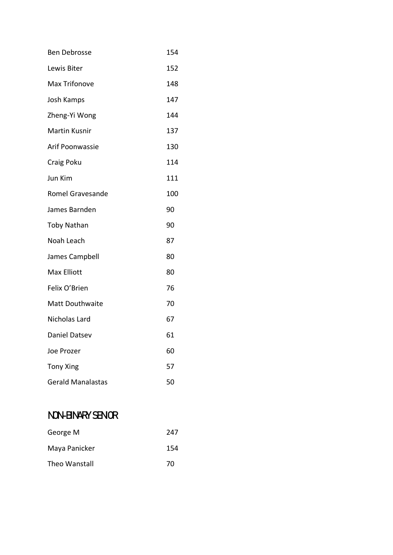- Ben Debrosse 154
- Lewis Biter 152
- Max Trifonove 148
- Josh Kamps 147
- Zheng-Yi Wong 144
- Martin Kusnir **137**
- Arif Poonwassie 130
- Craig Poku 114
- Jun Kim 111 Romel Gravesande 100
- James Barnden 190
- Toby Nathan 90
- Noah Leach 87
- James Campbell 80
- Max Elliott 80
- Felix O'Brien 76
- Matt Douthwaite 70
- Nicholas Lard 67 Daniel Datsev 61 Joe Prozer 60 Tony Xing 57
- Gerald Manalastas 50

### NON-BINARY SENOR

| George M      | 247 |
|---------------|-----|
| Maya Panicker | 154 |
| Theo Wanstall | 70  |